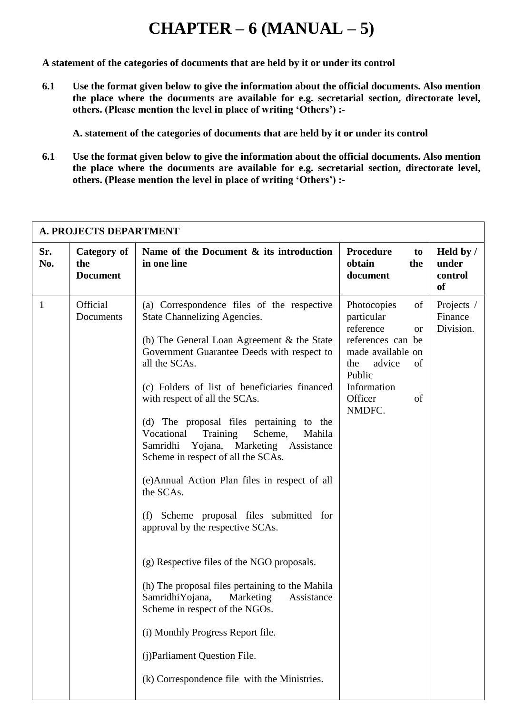# **CHAPTER – 6 (MANUAL – 5)**

**A statement of the categories of documents that are held by it or under its control**

**6.1 Use the format given below to give the information about the official documents. Also mention the place where the documents are available for e.g. secretarial section, directorate level, others. (Please mention the level in place of writing 'Others') :-**

**A. statement of the categories of documents that are held by it or under its control**

**6.1 Use the format given below to give the information about the official documents. Also mention the place where the documents are available for e.g. secretarial section, directorate level, others. (Please mention the level in place of writing 'Others') :-**

| <b>A. PROJECTS DEPARTMENT</b> |                                       |                                                                                                                                                                                                                                                                                                                                                                                                                                                                                                                                                                                                                                                                                                                                                                                                                                                                                                                         |                                                                                                                                                                                |                                            |  |  |  |
|-------------------------------|---------------------------------------|-------------------------------------------------------------------------------------------------------------------------------------------------------------------------------------------------------------------------------------------------------------------------------------------------------------------------------------------------------------------------------------------------------------------------------------------------------------------------------------------------------------------------------------------------------------------------------------------------------------------------------------------------------------------------------------------------------------------------------------------------------------------------------------------------------------------------------------------------------------------------------------------------------------------------|--------------------------------------------------------------------------------------------------------------------------------------------------------------------------------|--------------------------------------------|--|--|--|
| Sr.<br>No.                    | Category of<br>the<br><b>Document</b> | Name of the Document $\&$ its introduction<br>in one line                                                                                                                                                                                                                                                                                                                                                                                                                                                                                                                                                                                                                                                                                                                                                                                                                                                               | <b>Procedure</b><br>to<br>obtain<br>the<br>document                                                                                                                            | Held by /<br>under<br>control<br><b>of</b> |  |  |  |
| $\mathbf{1}$                  | Official<br>Documents                 | (a) Correspondence files of the respective<br><b>State Channelizing Agencies.</b><br>(b) The General Loan Agreement & the State<br>Government Guarantee Deeds with respect to<br>all the SCAs.<br>(c) Folders of list of beneficiaries financed<br>with respect of all the SCAs.<br>(d) The proposal files pertaining to the<br>Vocational<br>Training<br>Scheme,<br>Mahila<br>Samridhi<br>Yojana,<br>Marketing Assistance<br>Scheme in respect of all the SCAs.<br>(e) Annual Action Plan files in respect of all<br>the SCAs.<br>Scheme proposal files submitted for<br>(f)<br>approval by the respective SCAs.<br>(g) Respective files of the NGO proposals.<br>(h) The proposal files pertaining to the Mahila<br>SamridhiYojana,<br>Marketing<br>Assistance<br>Scheme in respect of the NGOs.<br>(i) Monthly Progress Report file.<br>(j)Parliament Question File.<br>(k) Correspondence file with the Ministries. | Photocopies<br>of<br>particular<br>reference<br><b>or</b><br>references can be<br>made available on<br>advice<br>the<br>of<br>Public<br>Information<br>Officer<br>of<br>NMDFC. | Projects /<br>Finance<br>Division.         |  |  |  |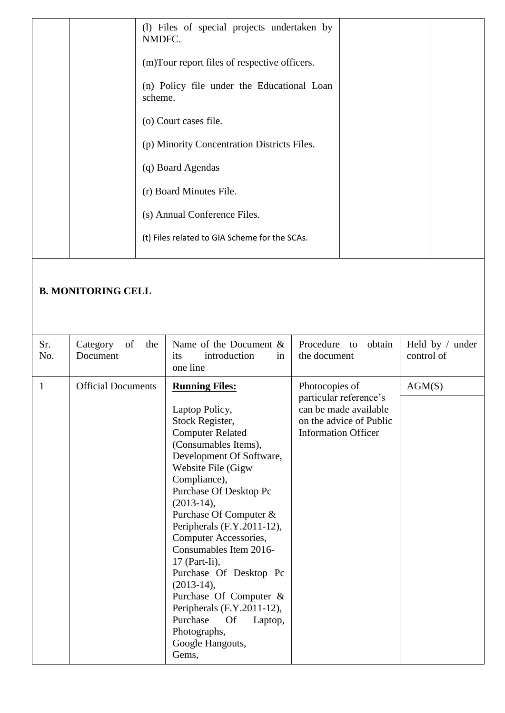|  | (1) Files of special projects undertaken by<br>NMDFC. |  |
|--|-------------------------------------------------------|--|
|  | (m)Tour report files of respective officers.          |  |
|  | (n) Policy file under the Educational Loan<br>scheme. |  |
|  | (o) Court cases file.                                 |  |
|  | (p) Minority Concentration Districts Files.           |  |
|  | (q) Board Agendas                                     |  |
|  | (r) Board Minutes File.                               |  |
|  | (s) Annual Conference Files.                          |  |
|  | (t) Files related to GIA Scheme for the SCAs.         |  |
|  |                                                       |  |

### **B. MONITORING CELL**

| Sr.<br>No. | Category of<br>the<br>Document | Name of the Document $\&$<br>introduction<br>its<br>in<br>one line                                                                                                                                                                                                                                                                                                                                                                                                                                                                         | Procedure to obtain<br>the document                                                                                        | Held by $/$ under<br>control of |
|------------|--------------------------------|--------------------------------------------------------------------------------------------------------------------------------------------------------------------------------------------------------------------------------------------------------------------------------------------------------------------------------------------------------------------------------------------------------------------------------------------------------------------------------------------------------------------------------------------|----------------------------------------------------------------------------------------------------------------------------|---------------------------------|
| 1          | <b>Official Documents</b>      | <b>Running Files:</b><br>Laptop Policy,<br>Stock Register,<br><b>Computer Related</b><br>(Consumables Items),<br>Development Of Software,<br>Website File (Gigw<br>Compliance),<br>Purchase Of Desktop Pc<br>$(2013-14),$<br>Purchase Of Computer &<br>Peripherals (F.Y.2011-12),<br>Computer Accessories,<br>Consumables Item 2016-<br>$17$ (Part-Ii),<br>Purchase Of Desktop Pc<br>$(2013-14),$<br>Purchase Of Computer &<br>Peripherals (F.Y.2011-12),<br>Purchase<br><b>Of</b><br>Laptop,<br>Photographs,<br>Google Hangouts,<br>Gems, | Photocopies of<br>particular reference's<br>can be made available<br>on the advice of Public<br><b>Information Officer</b> | AGM(S)                          |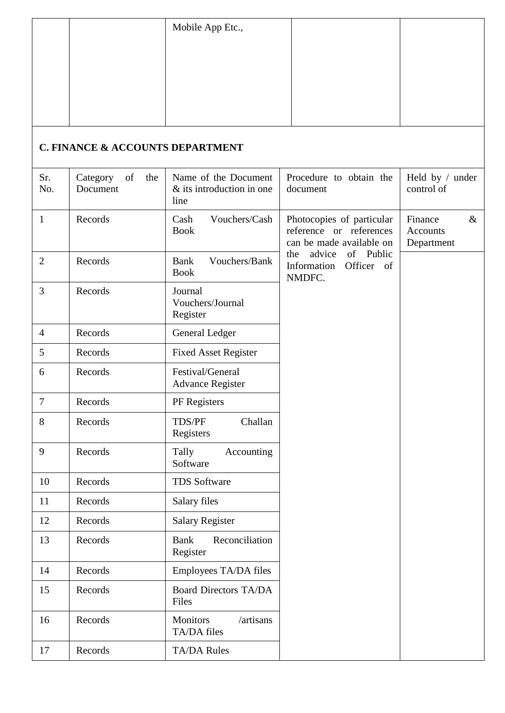|  | Mobile App Etc., |  |
|--|------------------|--|
|  |                  |  |
|  |                  |  |
|  |                  |  |
|  |                  |  |

## **C. FINANCE & ACCOUNTS DEPARTMENT**

| Sr.<br>No.     | Category<br>of<br>the<br>Document | Name of the Document<br>& its introduction in one<br>line | Procedure to obtain the<br>document                                              | Held by / under<br>control of             |
|----------------|-----------------------------------|-----------------------------------------------------------|----------------------------------------------------------------------------------|-------------------------------------------|
| $\mathbf{1}$   | Records                           | Vouchers/Cash<br>Cash<br><b>Book</b>                      | Photocopies of particular<br>reference or references<br>can be made available on | $\&$<br>Finance<br>Accounts<br>Department |
| $\overline{2}$ | Records                           | <b>Bank</b><br>Vouchers/Bank<br><b>Book</b>               | advice<br>of Public<br>the<br>Information<br>Officer of<br>NMDFC.                |                                           |
| 3              | Records                           | Journal<br>Vouchers/Journal<br>Register                   |                                                                                  |                                           |
| $\overline{4}$ | Records                           | General Ledger                                            |                                                                                  |                                           |
| 5              | Records                           | <b>Fixed Asset Register</b>                               |                                                                                  |                                           |
| 6              | Records                           | Festival/General<br><b>Advance Register</b>               |                                                                                  |                                           |
| $\overline{7}$ | Records                           | PF Registers                                              |                                                                                  |                                           |
| 8              | Records                           | TDS/PF<br>Challan<br>Registers                            |                                                                                  |                                           |
| 9              | Records                           | Tally<br>Accounting<br>Software                           |                                                                                  |                                           |
| 10             | Records                           | <b>TDS Software</b>                                       |                                                                                  |                                           |
| 11             | Records                           | Salary files                                              |                                                                                  |                                           |
| 12             | Records                           | <b>Salary Register</b>                                    |                                                                                  |                                           |
| 13             | Records                           | <b>Bank</b><br>Reconciliation<br>Register                 |                                                                                  |                                           |
| 14             | Records                           | Employees TA/DA files                                     |                                                                                  |                                           |
| 15             | Records                           | <b>Board Directors TA/DA</b><br>Files                     |                                                                                  |                                           |
| 16             | Records                           | <b>Monitors</b><br>/artisans<br>TA/DA files               |                                                                                  |                                           |
| 17             | Records                           | <b>TA/DA Rules</b>                                        |                                                                                  |                                           |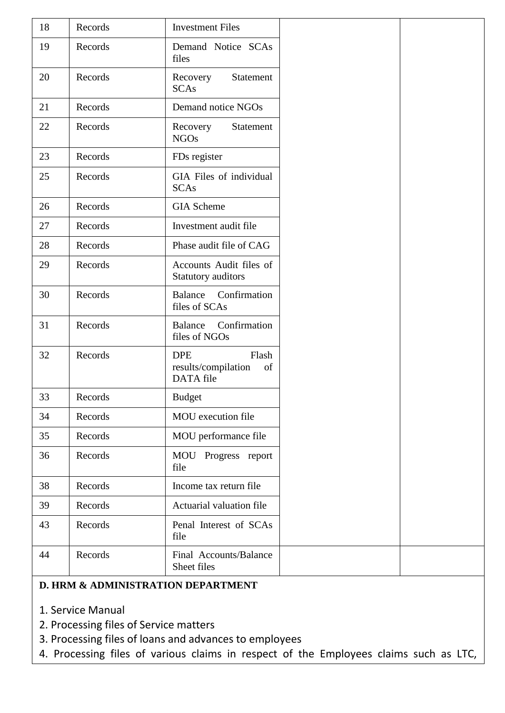| 18 | Records | <b>Investment Files</b>                                       |  |
|----|---------|---------------------------------------------------------------|--|
| 19 | Records | Demand Notice SCAs<br>files                                   |  |
| 20 | Records | Recovery<br>Statement<br><b>SCAs</b>                          |  |
| 21 | Records | Demand notice NGOs                                            |  |
| 22 | Records | Recovery<br>Statement<br><b>NGOs</b>                          |  |
| 23 | Records | FDs register                                                  |  |
| 25 | Records | GIA Files of individual<br><b>SCAs</b>                        |  |
| 26 | Records | <b>GIA</b> Scheme                                             |  |
| 27 | Records | Investment audit file                                         |  |
| 28 | Records | Phase audit file of CAG                                       |  |
| 29 | Records | Accounts Audit files of<br>Statutory auditors                 |  |
| 30 | Records | Balance<br>Confirmation<br>files of SCAs                      |  |
| 31 | Records | Confirmation<br>Balance<br>files of NGOs                      |  |
| 32 | Records | Flash<br><b>DPE</b><br>results/compilation<br>of<br>DATA file |  |
| 33 | Records | <b>Budget</b>                                                 |  |
| 34 | Records | MOU execution file                                            |  |
| 35 | Records | MOU performance file                                          |  |
| 36 | Records | MOU Progress report<br>file                                   |  |
| 38 | Records | Income tax return file                                        |  |
| 39 | Records | Actuarial valuation file                                      |  |
| 43 | Records | Penal Interest of SCAs<br>file                                |  |
| 44 | Records | Final Accounts/Balance<br>Sheet files                         |  |
|    |         |                                                               |  |

#### **D. HRM & ADMINISTRATION DEPARTMENT**

- 1. Service Manual
- 2. Processing files of Service matters
- 3. Processing files of loans and advances to employees
- 4. Processing files of various claims in respect of the Employees claims such as LTC,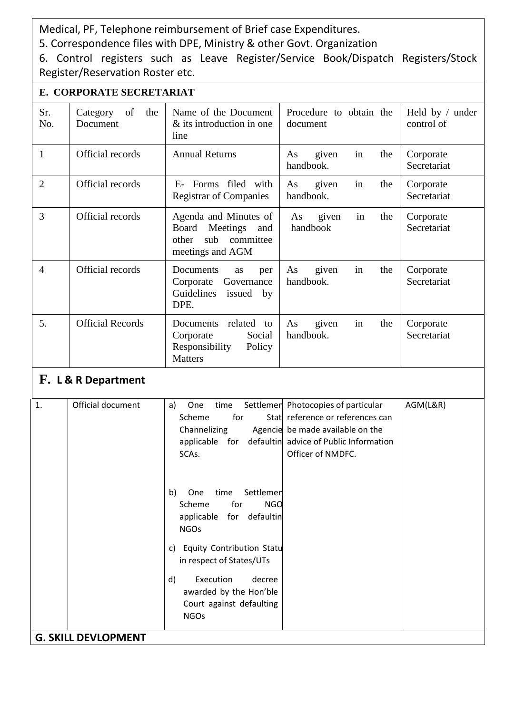Medical, PF, Telephone reimbursement of Brief case Expenditures.

5. Correspondence files with DPE, Ministry & other Govt. Organization

6. Control registers such as Leave Register/Service Book/Dispatch Registers/Stock Register/Reservation Roster etc.

|                | E. CORPORATE SECRETARIAT          |                                                                                                    |                                       |                               |  |  |
|----------------|-----------------------------------|----------------------------------------------------------------------------------------------------|---------------------------------------|-------------------------------|--|--|
| Sr.<br>No.     | Category<br>of<br>the<br>Document | Name of the Document<br>& its introduction in one<br>line                                          | Procedure to obtain the<br>document   | Held by / under<br>control of |  |  |
| $\mathbf{1}$   | Official records                  | <b>Annual Returns</b>                                                                              | in<br>given<br>the<br>As<br>handbook. | Corporate<br>Secretariat      |  |  |
| $\overline{2}$ | Official records                  | Forms filed with<br>$E_{\tau}$<br><b>Registrar of Companies</b>                                    | given<br>the<br>As<br>in<br>handbook. | Corporate<br>Secretariat      |  |  |
| 3              | Official records                  | Agenda and Minutes of<br>Meetings<br>Board<br>and<br>sub<br>committee<br>other<br>meetings and AGM | given<br>the<br>As<br>in<br>handbook  | Corporate<br>Secretariat      |  |  |
| $\overline{4}$ | Official records                  | Documents<br>as<br>per<br>Corporate<br>Governance<br>Guidelines<br>issued<br>by<br>DPE.            | in<br>given<br>the<br>As<br>handbook. | Corporate<br>Secretariat      |  |  |
| 5.             | <b>Official Records</b>           | related<br>Documents<br>to<br>Corporate<br>Social<br>Responsibility<br>Policy<br><b>Matters</b>    | in<br>the<br>As<br>given<br>handbook. | Corporate<br>Secretariat      |  |  |
| $\mathbf F$    | <b>I</b> & R Denartment           |                                                                                                    |                                       |                               |  |  |

## **F. L & R Department**

| 1. | Official document          | AGM(L&R)<br>Settlemen Photocopies of particular<br>One<br>time<br>a) |
|----|----------------------------|----------------------------------------------------------------------|
|    |                            | for<br>Stat reference or references can<br>Scheme                    |
|    |                            | Channelizing Agencie be made available on the                        |
|    |                            | applicable for defaultin advice of Public Information                |
|    |                            | Officer of NMDFC.<br>SCAs.                                           |
|    |                            |                                                                      |
|    |                            |                                                                      |
|    |                            | b)<br>time Settlemen<br>One                                          |
|    |                            | Scheme<br>for<br><b>NGO</b>                                          |
|    |                            | applicable for defaultin                                             |
|    |                            | <b>NGOs</b>                                                          |
|    |                            |                                                                      |
|    |                            | <b>Equity Contribution Statu</b><br>C)                               |
|    |                            | in respect of States/UTs                                             |
|    |                            | d)<br>Execution<br>decree                                            |
|    |                            | awarded by the Hon'ble                                               |
|    |                            | Court against defaulting                                             |
|    |                            |                                                                      |
|    |                            | <b>NGOs</b>                                                          |
|    | <b>G. SKILL DEVLOPMENT</b> |                                                                      |